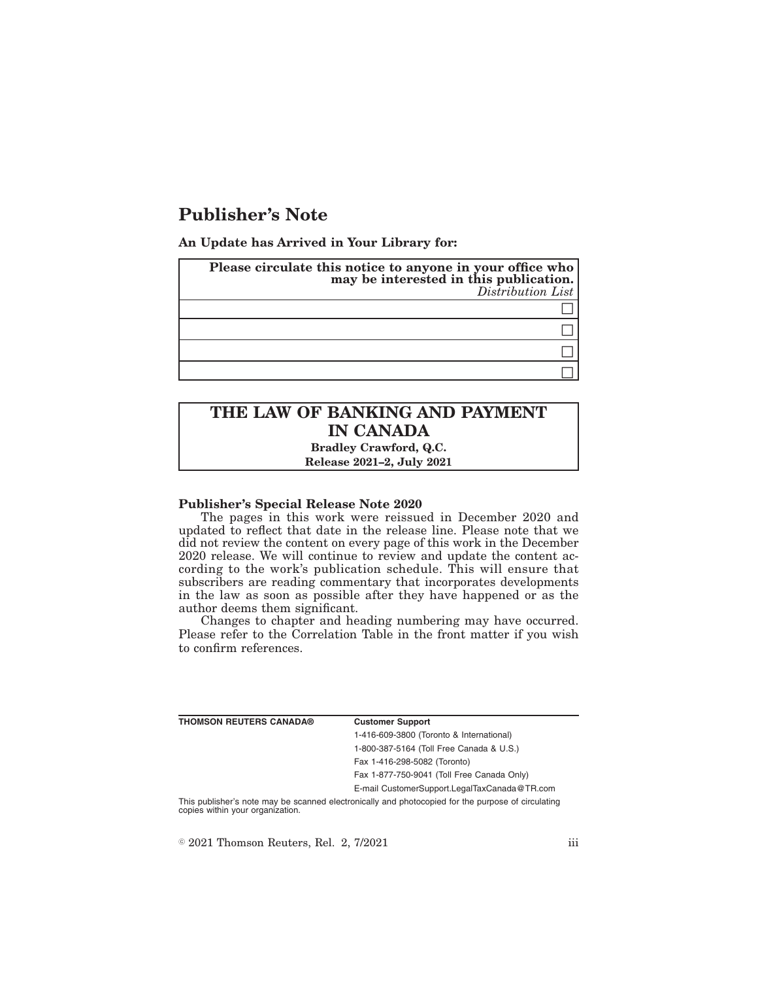# **Publisher's Note**

**An Update has Arrived in Your Library for:**

| Please circulate this notice to anyone in your office who<br>may be interested in this publication.<br>Distribution List |
|--------------------------------------------------------------------------------------------------------------------------|
|                                                                                                                          |
|                                                                                                                          |
|                                                                                                                          |
|                                                                                                                          |

# **THE LAW OF BANKING AND PAYMENT IN CANADA**

**Bradley Crawford, Q.C. Release 2021–2, July 2021**

## **Publisher's Special Release Note 2020**

The pages in this work were reissued in December 2020 and updated to reflect that date in the release line. Please note that we did not review the content on every page of this work in the December 2020 release. We will continue to review and update the content according to the work's publication schedule. This will ensure that subscribers are reading commentary that incorporates developments in the law as soon as possible after they have happened or as the author deems them significant.

Changes to chapter and heading numbering may have occurred. Please refer to the Correlation Table in the front matter if you wish to confirm references.

| THOMSON REUTERS CANADA® | <b>Customer Support</b>                      |
|-------------------------|----------------------------------------------|
|                         | 1-416-609-3800 (Toronto & International)     |
|                         | 1-800-387-5164 (Toll Free Canada & U.S.)     |
|                         | Fax 1-416-298-5082 (Toronto)                 |
|                         | Fax 1-877-750-9041 (Toll Free Canada Only)   |
|                         | E-mail CustomerSupport.LegalTaxCanada@TR.com |
|                         |                                              |

This publisher's note may be scanned electronically and photocopied for the purpose of circulating copies within your organization.

 $\textdegree$  2021 Thomson Reuters, Rel. 2, 7/2021 iii